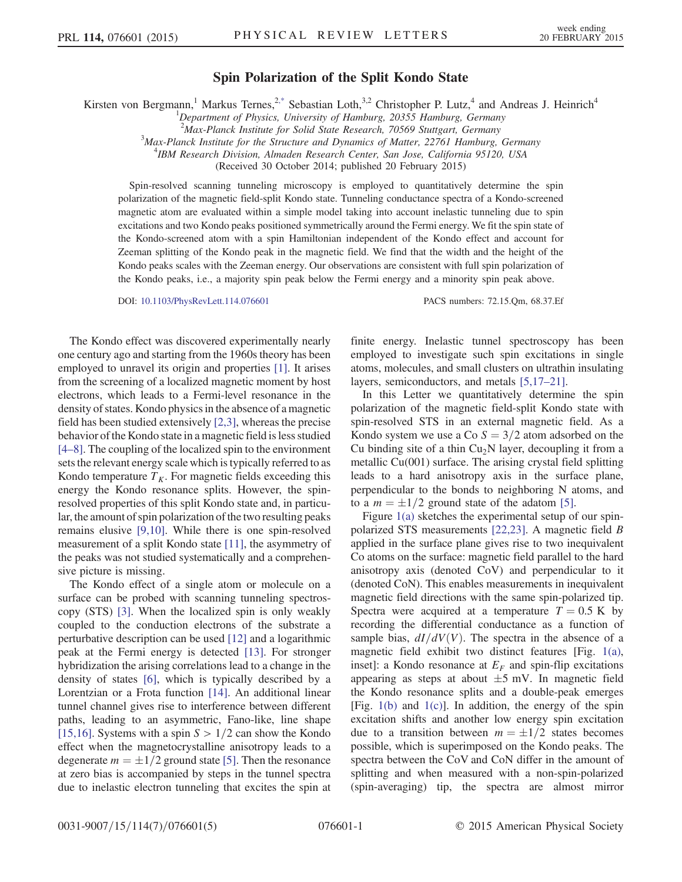## Spin Polarization of the Split Kondo State

<span id="page-0-0"></span>Kirsten von Bergmann,<sup>1</sup> Markus Ternes,<sup>[2,\\*](#page-3-0)</sup> Sebastian Loth,<sup>3,2</sup> Christopher P. Lutz,<sup>4</sup> and Andreas J. Heinrich<sup>4</sup>

<sup>2</sup>Max-Planck Institute for Solid State Research, 70569 Stuttgart, Germany<sup>3</sup>Max-Planck Institute for the Structure and Dynamics of Matter 22761 Hamburg

 $3$ Max-Planck Institute for the Structure and Dynamics of Matter, 22761 Hamburg, Germany

<sup>4</sup>IBM Research Division, Almaden Research Center, San Jose, California 95120, USA

(Received 30 October 2014; published 20 February 2015)

Spin-resolved scanning tunneling microscopy is employed to quantitatively determine the spin polarization of the magnetic field-split Kondo state. Tunneling conductance spectra of a Kondo-screened magnetic atom are evaluated within a simple model taking into account inelastic tunneling due to spin excitations and two Kondo peaks positioned symmetrically around the Fermi energy. We fit the spin state of the Kondo-screened atom with a spin Hamiltonian independent of the Kondo effect and account for Zeeman splitting of the Kondo peak in the magnetic field. We find that the width and the height of the Kondo peaks scales with the Zeeman energy. Our observations are consistent with full spin polarization of the Kondo peaks, i.e., a majority spin peak below the Fermi energy and a minority spin peak above.

DOI: [10.1103/PhysRevLett.114.076601](http://dx.doi.org/10.1103/PhysRevLett.114.076601) PACS numbers: 72.15.Qm, 68.37.Ef

The Kondo effect was discovered experimentally nearly one century ago and starting from the 1960s theory has been employed to unravel its origin and properties [\[1\]](#page-3-1). It arises from the screening of a localized magnetic moment by host electrons, which leads to a Fermi-level resonance in the density of states. Kondo physics in the absence of a magnetic field has been studied extensively [\[2,3\],](#page-3-2) whereas the precise behavior of the Kondo state in a magnetic field is less studied [\[4](#page-3-3)–8]. The coupling of the localized spin to the environment sets the relevant energy scale which is typically referred to as Kondo temperature  $T_K$ . For magnetic fields exceeding this energy the Kondo resonance splits. However, the spinresolved properties of this split Kondo state and, in particular, the amount of spin polarization of the two resulting peaks remains elusive [\[9,10\]](#page-4-0). While there is one spin-resolved measurement of a split Kondo state [\[11\],](#page-4-1) the asymmetry of the peaks was not studied systematically and a comprehensive picture is missing.

The Kondo effect of a single atom or molecule on a surface can be probed with scanning tunneling spectroscopy (STS) [\[3\]](#page-3-4). When the localized spin is only weakly coupled to the conduction electrons of the substrate a perturbative description can be used [\[12\]](#page-4-2) and a logarithmic peak at the Fermi energy is detected [\[13\].](#page-4-3) For stronger hybridization the arising correlations lead to a change in the density of states [\[6\],](#page-3-5) which is typically described by a Lorentzian or a Frota function [\[14\]](#page-4-4). An additional linear tunnel channel gives rise to interference between different paths, leading to an asymmetric, Fano-like, line shape [\[15,16\]](#page-4-5). Systems with a spin  $S > 1/2$  can show the Kondo effect when the magnetocrystalline anisotropy leads to a degenerate  $m = \pm 1/2$  ground state [\[5\]](#page-3-6). Then the resonance at zero bias is accompanied by steps in the tunnel spectra due to inelastic electron tunneling that excites the spin at finite energy. Inelastic tunnel spectroscopy has been employed to investigate such spin excitations in single atoms, molecules, and small clusters on ultrathin insulating layers, semiconductors, and metals [\[5,17](#page-3-6)–21].

In this Letter we quantitatively determine the spin polarization of the magnetic field-split Kondo state with spin-resolved STS in an external magnetic field. As a Kondo system we use a Co  $S = 3/2$  atom adsorbed on the Cu binding site of a thin  $Cu<sub>2</sub>N$  layer, decoupling it from a metallic Cu(001) surface. The arising crystal field splitting leads to a hard anisotropy axis in the surface plane, perpendicular to the bonds to neighboring N atoms, and to a  $m = \pm 1/2$  ground state of the adatom [\[5\]](#page-3-6).

Figure [1\(a\)](#page-1-0) sketches the experimental setup of our spinpolarized STS measurements [\[22,23\].](#page-4-6) A magnetic field B applied in the surface plane gives rise to two inequivalent Co atoms on the surface: magnetic field parallel to the hard anisotropy axis (denoted CoV) and perpendicular to it (denoted CoN). This enables measurements in inequivalent magnetic field directions with the same spin-polarized tip. Spectra were acquired at a temperature  $T = 0.5$  K by recording the differential conductance as a function of sample bias,  $dI/dV(V)$ . The spectra in the absence of a magnetic field exhibit two distinct features [Fig. [1\(a\)](#page-1-0), inset]: a Kondo resonance at  $E_F$  and spin-flip excitations appearing as steps at about  $\pm 5$  mV. In magnetic field the Kondo resonance splits and a double-peak emerges [Fig.  $1(b)$  and  $1(c)$ ]. In addition, the energy of the spin excitation shifts and another low energy spin excitation due to a transition between  $m = \pm 1/2$  states becomes possible, which is superimposed on the Kondo peaks. The spectra between the CoV and CoN differ in the amount of splitting and when measured with a non-spin-polarized (spin-averaging) tip, the spectra are almost mirror

<sup>&</sup>lt;sup>1</sup>Department of Physics, University of Hamburg, 20355 Hamburg, Germany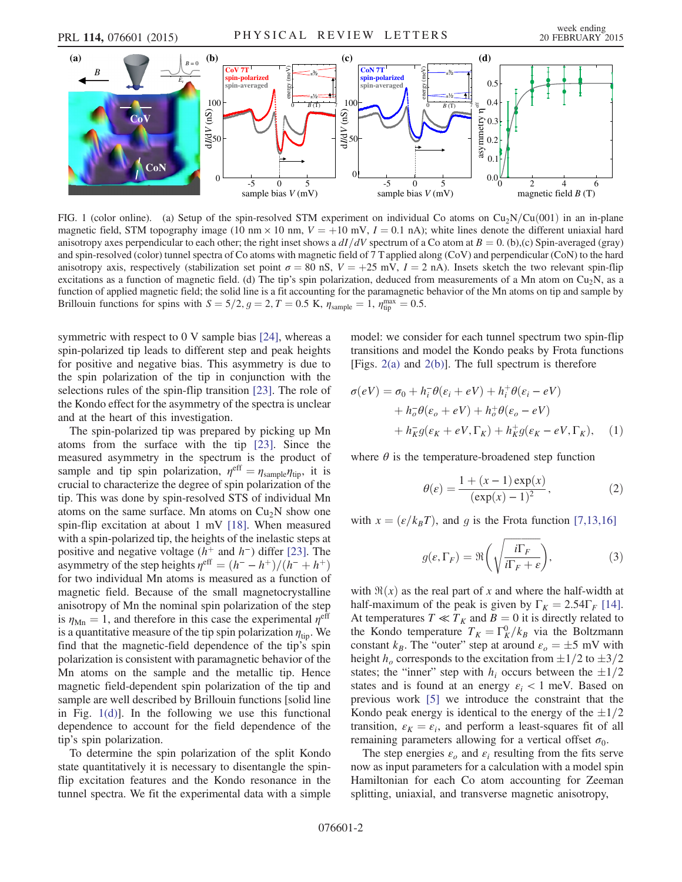<span id="page-1-0"></span>

FIG. 1 (color online). (a) Setup of the spin-resolved STM experiment on individual Co atoms on  $Cu_2N/Cu(001)$  in an in-plane magnetic field, STM topography image (10 nm  $\times$  10 nm,  $V = +10$  mV,  $I = 0.1$  nA); white lines denote the different uniaxial hard anisotropy axes perpendicular to each other; the right inset shows a  $dI/dV$  spectrum of a Co atom at  $B = 0$ . (b),(c) Spin-averaged (gray) and spin-resolved (color) tunnel spectra of Co atoms with magnetic field of 7 T applied along (CoV) and perpendicular (CoN) to the hard anisotropy axis, respectively (stabilization set point  $\sigma = 80$  nS,  $V = +25$  mV,  $I = 2$  nA). Insets sketch the two relevant spin-flip excitations as a function of magnetic field. (d) The tip's spin polarization, deduced from measurements of a Mn atom on Cu<sub>2</sub>N, as a function of applied magnetic field; the solid line is a fit accounting for the paramagnetic behavior of the Mn atoms on tip and sample by Brillouin functions for spins with  $S = 5/2, g = 2, T = 0.5$  K,  $\eta_{\text{sample}} = 1, \eta_{\text{tip}}^{\text{max}} = 0.5$ .

symmetric with respect to 0 V sample bias [\[24\]](#page-4-7), whereas a spin-polarized tip leads to different step and peak heights for positive and negative bias. This asymmetry is due to the spin polarization of the tip in conjunction with the selections rules of the spin-flip transition [\[23\]](#page-4-8). The role of the Kondo effect for the asymmetry of the spectra is unclear and at the heart of this investigation.

The spin-polarized tip was prepared by picking up Mn atoms from the surface with the tip [\[23\]](#page-4-8). Since the measured asymmetry in the spectrum is the product of sample and tip spin polarization,  $\eta^{\text{eff}} = \eta_{\text{sample}} \eta_{\text{tip}}$ , it is crucial to characterize the degree of spin polarization of the tip. This was done by spin-resolved STS of individual Mn atoms on the same surface. Mn atoms on  $Cu<sub>2</sub>N$  show one spin-flip excitation at about 1 mV [\[18\]](#page-4-9). When measured with a spin-polarized tip, the heights of the inelastic steps at positive and negative voltage ( $h^+$  and  $h^-$ ) differ [\[23\]](#page-4-8). The asymmetry of the step heights  $\eta^{\text{eff}} = (h^- - h^+)/(\dot{h}^- + h^+)$ for two individual Mn atoms is measured as a function of magnetic field. Because of the small magnetocrystalline anisotropy of Mn the nominal spin polarization of the step is  $\eta_{\text{Mn}} = 1$ , and therefore in this case the experimental  $\eta^{\text{eff}}$ is a quantitative measure of the tip spin polarization  $\eta_{\text{tip}}$ . We find that the magnetic-field dependence of the tip's spin polarization is consistent with paramagnetic behavior of the Mn atoms on the sample and the metallic tip. Hence magnetic field-dependent spin polarization of the tip and sample are well described by Brillouin functions [solid line in Fig.  $1(d)$ ]. In the following we use this functional dependence to account for the field dependence of the tip's spin polarization.

To determine the spin polarization of the split Kondo state quantitatively it is necessary to disentangle the spinflip excitation features and the Kondo resonance in the tunnel spectra. We fit the experimental data with a simple <span id="page-1-1"></span>model: we consider for each tunnel spectrum two spin-flip transitions and model the Kondo peaks by Frota functions [Figs.  $2(a)$  and  $2(b)$ ]. The full spectrum is therefore

$$
\sigma(eV) = \sigma_0 + h_i^-\theta(\varepsilon_i + eV) + h_i^+\theta(\varepsilon_i - eV)
$$
  
+ 
$$
h_o^-\theta(\varepsilon_o + eV) + h_o^+\theta(\varepsilon_o - eV)
$$
  
+ 
$$
h_K^-\theta(\varepsilon_K + eV, \Gamma_K) + h_K^+\theta(\varepsilon_K - eV, \Gamma_K), \quad (1)
$$

where  $\theta$  is the temperature-broadened step function

$$
\theta(\varepsilon) = \frac{1 + (x - 1) \exp(x)}{(\exp(x) - 1)^2},
$$
\n(2)

with  $x = \left(\frac{\varepsilon}{k_B T}\right)$ , and g is the Frota function [\[7,13,16\]](#page-3-7)

$$
g(\varepsilon, \Gamma_F) = \Re\left(\sqrt{\frac{i\Gamma_F}{i\Gamma_F + \varepsilon}}\right),\tag{3}
$$

with  $\Re(x)$  as the real part of x and where the half-width at half-maximum of the peak is given by  $\Gamma_K = 2.54 \Gamma_F$  [\[14\]](#page-4-4). At temperatures  $T \ll T_K$  and  $B = 0$  it is directly related to the Kondo temperature  $T_K = \Gamma_K^0/k_B$  via the Boltzmann constant  $k_B$ . The "outer" step at around  $\varepsilon_o = \pm 5$  mV with height  $h_o$  corresponds to the excitation from  $\pm 1/2$  to  $\pm 3/2$ states; the "inner" step with  $h_i$  occurs between the  $\pm 1/2$ states and is found at an energy  $\varepsilon_i < 1$  meV. Based on previous work [\[5\]](#page-3-6) we introduce the constraint that the Kondo peak energy is identical to the energy of the  $\pm 1/2$ transition,  $\varepsilon_K = \varepsilon_i$ , and perform a least-squares fit of all remaining parameters allowing for a vertical offset  $\sigma_0$ .

The step energies  $\varepsilon_o$  and  $\varepsilon_i$  resulting from the fits serve now as input parameters for a calculation with a model spin Hamiltonian for each Co atom accounting for Zeeman splitting, uniaxial, and transverse magnetic anisotropy,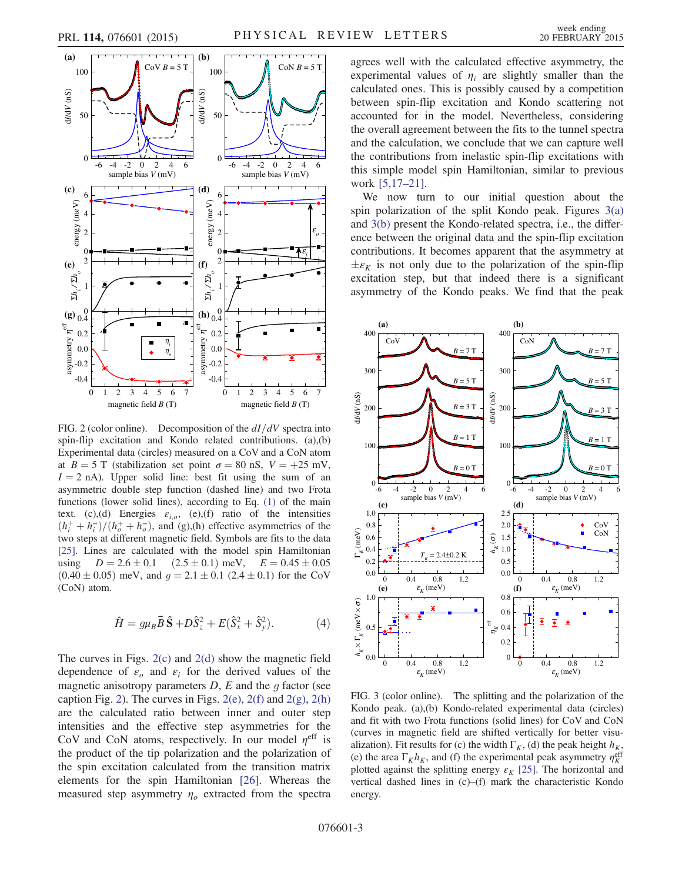<span id="page-2-0"></span>

FIG. 2 (color online). Decomposition of the  $dI/dV$  spectra into spin-flip excitation and Kondo related contributions. (a),(b) Experimental data (circles) measured on a CoV and a CoN atom at  $B = 5$  T (stabilization set point  $\sigma = 80$  nS,  $V = +25$  mV,  $I = 2$  nA). Upper solid line: best fit using the sum of an asymmetric double step function (dashed line) and two Frota functions (lower solid lines), according to Eq. [\(1\)](#page-1-1) of the main text. (c),(d) Energies  $\varepsilon_{i,o}$ , (e),(f) ratio of the intensities  $(h_i^+ + h_i^-)/(h_o^+ + h_o^-)$ , and (g),(h) effective asymmetries of the two steps at different magnetic field. Symbols are fits to the data [\[25\].](#page-4-11) Lines are calculated with the model spin Hamiltonian using  $D = 2.6 \pm 0.1$  (2.5  $\pm$  0.1) meV,  $E = 0.45 \pm 0.05$  $(0.40 \pm 0.05)$  meV, and  $g = 2.1 \pm 0.1$  (2.4  $\pm$  0.1) for the CoV (CoN) atom.

$$
\hat{H} = g\mu_B \vec{B} \hat{\mathbf{S}} + D\hat{S}_z^2 + E(\hat{S}_x^2 + \hat{S}_y^2). \tag{4}
$$

The curves in Figs.  $2(c)$  and  $2(d)$  show the magnetic field dependence of  $\varepsilon_o$  and  $\varepsilon_i$  for the derived values of the magnetic anisotropy parameters  $D$ ,  $E$  and the  $g$  factor (see caption Fig. [2](#page-2-0)). The curves in Figs.  $2(e)$ ,  $2(f)$  and  $2(g)$ ,  $2(h)$ are the calculated ratio between inner and outer step intensities and the effective step asymmetries for the CoV and CoN atoms, respectively. In our model  $\eta^{\text{eff}}$  is the product of the tip polarization and the polarization of the spin excitation calculated from the transition matrix elements for the spin Hamiltonian [\[26\]](#page-4-10). Whereas the measured step asymmetry  $\eta_o$  extracted from the spectra agrees well with the calculated effective asymmetry, the experimental values of  $\eta_i$  are slightly smaller than the calculated ones. This is possibly caused by a competition between spin-flip excitation and Kondo scattering not accounted for in the model. Nevertheless, considering the overall agreement between the fits to the tunnel spectra and the calculation, we conclude that we can capture well the contributions from inelastic spin-flip excitations with this simple model spin Hamiltonian, similar to previous work [\[5,17](#page-3-6)–21].

We now turn to our initial question about the spin polarization of the split Kondo peak. Figures [3\(a\)](#page-2-1) and [3\(b\)](#page-2-1) present the Kondo-related spectra, i.e., the difference between the original data and the spin-flip excitation contributions. It becomes apparent that the asymmetry at  $\pm \varepsilon_K$  is not only due to the polarization of the spin-flip excitation step, but that indeed there is a significant asymmetry of the Kondo peaks. We find that the peak

<span id="page-2-1"></span>

FIG. 3 (color online). The splitting and the polarization of the Kondo peak. (a),(b) Kondo-related experimental data (circles) and fit with two Frota functions (solid lines) for CoV and CoN (curves in magnetic field are shifted vertically for better visualization). Fit results for (c) the width  $\Gamma_K$ , (d) the peak height  $h_K$ , (e) the area  $\Gamma_K h_K$ , and (f) the experimental peak asymmetry  $\eta_K^{\text{eff}}$ plotted against the splitting energy  $\varepsilon_K$  [\[25\]](#page-4-11). The horizontal and vertical dashed lines in (c)–(f) mark the characteristic Kondo energy.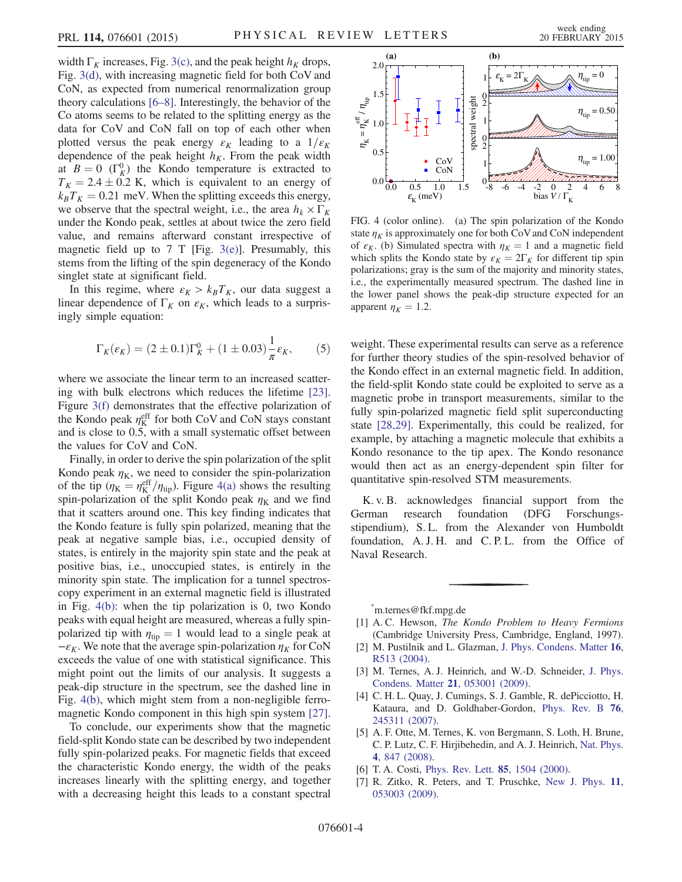width  $\Gamma_K$  increases, Fig. [3\(c\)](#page-2-1), and the peak height  $h_K$  drops, Fig. [3\(d\),](#page-2-1) with increasing magnetic field for both CoV and CoN, as expected from numerical renormalization group theory calculations [6–[8\]](#page-3-5). Interestingly, the behavior of the Co atoms seems to be related to the splitting energy as the data for CoV and CoN fall on top of each other when plotted versus the peak energy  $\varepsilon_K$  leading to a  $1/\varepsilon_K$ dependence of the peak height  $h_K$ . From the peak width at  $B = 0$  (Γ<sup>0</sup><sub>K</sub>) the Kondo temperature is extracted to  $T_K = 2.4 \pm 0.2$  K, which is equivalent to an energy of  $k_B T_K = 0.21$  meV. When the splitting exceeds this energy, we observe that the spectral weight, i.e., the area  $h_k \times \Gamma_K$ under the Kondo peak, settles at about twice the zero field value, and remains afterward constant irrespective of magnetic field up to 7 T [Fig.  $3(e)$ ]. Presumably, this stems from the lifting of the spin degeneracy of the Kondo singlet state at significant field.

In this regime, where  $\varepsilon_K > k_B T_K$ , our data suggest a linear dependence of  $\Gamma_K$  on  $\varepsilon_K$ , which leads to a surprisingly simple equation:

$$
\Gamma_K(\varepsilon_K) = (2 \pm 0.1)\Gamma_K^0 + (1 \pm 0.03)\frac{1}{\pi}\varepsilon_K, \qquad (5)
$$

where we associate the linear term to an increased scattering with bulk electrons which reduces the lifetime [\[23\]](#page-4-8). Figure [3\(f\)](#page-2-1) demonstrates that the effective polarization of the Kondo peak  $\eta_K^{\text{eff}}$  for both CoV and CoN stays constant and is close to 0.5, with a small systematic offset between the values for CoV and CoN.

Finally, in order to derive the spin polarization of the split Kondo peak  $\eta_K$ , we need to consider the spin-polarization of the tip ( $\eta_K = \eta_K^{\text{eff}}/\eta_{\text{tip}}$ ). Figure [4\(a\)](#page-3-8) shows the resulting spin-polarization of the split Kondo peak  $\eta_K$  and we find that it scatters around one. This key finding indicates that the Kondo feature is fully spin polarized, meaning that the peak at negative sample bias, i.e., occupied density of states, is entirely in the majority spin state and the peak at positive bias, i.e., unoccupied states, is entirely in the minority spin state. The implication for a tunnel spectroscopy experiment in an external magnetic field is illustrated in Fig. [4\(b\)](#page-3-8): when the tip polarization is 0, two Kondo peaks with equal height are measured, whereas a fully spinpolarized tip with  $\eta_{\text{tip}} = 1$  would lead to a single peak at  $-\varepsilon_K$ . We note that the average spin-polarization  $\eta_K$  for CoN exceeds the value of one with statistical significance. This might point out the limits of our analysis. It suggests a peak-dip structure in the spectrum, see the dashed line in Fig. [4\(b\),](#page-3-8) which might stem from a non-negligible ferromagnetic Kondo component in this high spin system [\[27\]](#page-4-12).

To conclude, our experiments show that the magnetic field-split Kondo state can be described by two independent fully spin-polarized peaks. For magnetic fields that exceed the characteristic Kondo energy, the width of the peaks increases linearly with the splitting energy, and together with a decreasing height this leads to a constant spectral

<span id="page-3-8"></span>

FIG. 4 (color online). (a) The spin polarization of the Kondo state  $\eta_K$  is approximately one for both CoV and CoN independent of  $\varepsilon_K$ . (b) Simulated spectra with  $\eta_K = 1$  and a magnetic field which splits the Kondo state by  $\varepsilon_K = 2\Gamma_K$  for different tip spin polarizations; gray is the sum of the majority and minority states, i.e., the experimentally measured spectrum. The dashed line in the lower panel shows the peak-dip structure expected for an apparent  $\eta_K = 1.2$ .

weight. These experimental results can serve as a reference for further theory studies of the spin-resolved behavior of the Kondo effect in an external magnetic field. In addition, the field-split Kondo state could be exploited to serve as a magnetic probe in transport measurements, similar to the fully spin-polarized magnetic field split superconducting state [\[28,29\].](#page-4-13) Experimentally, this could be realized, for example, by attaching a magnetic molecule that exhibits a Kondo resonance to the tip apex. The Kondo resonance would then act as an energy-dependent spin filter for quantitative spin-resolved STM measurements.

K. v. B. acknowledges financial support from the German research foundation (DFG Forschungsstipendium), S. L. from the Alexander von Humboldt foundation, A. J. H. and C. P. L. from the Office of Naval Research.

<span id="page-3-0"></span>[\\*](#page-0-0) m.ternes@fkf.mpg.de

- <span id="page-3-2"></span><span id="page-3-1"></span>[1] A.C. Hewson, *The Kondo Problem to Heavy Fermions* (Cambridge University Press, Cambridge, England, 1997).
- <span id="page-3-4"></span>[2] M. Pustilnik and L. Glazman, [J. Phys. Condens. Matter](http://dx.doi.org/10.1088/0953-8984/16/16/R01) 16, [R513 \(2004\).](http://dx.doi.org/10.1088/0953-8984/16/16/R01)
- <span id="page-3-3"></span>[3] M. Ternes, A. J. Heinrich, and W.-D. Schneider, [J. Phys.](http://dx.doi.org/10.1088/0953-8984/21/5/053001) [Condens. Matter](http://dx.doi.org/10.1088/0953-8984/21/5/053001) 21, 053001 (2009).
- <span id="page-3-6"></span>[4] C. H. L. Quay, J. Cumings, S. J. Gamble, R. dePicciotto, H. Kataura, and D. Goldhaber-Gordon, [Phys. Rev. B](http://dx.doi.org/10.1103/PhysRevB.76.245311) 76, [245311 \(2007\).](http://dx.doi.org/10.1103/PhysRevB.76.245311)
- <span id="page-3-5"></span>[5] A. F. Otte, M. Ternes, K. von Bergmann, S. Loth, H. Brune, C. P. Lutz, C. F. Hirjibehedin, and A. J. Heinrich, [Nat. Phys.](http://dx.doi.org/10.1038/nphys1072) 4[, 847 \(2008\).](http://dx.doi.org/10.1038/nphys1072)
- <span id="page-3-7"></span>[6] T. A. Costi, [Phys. Rev. Lett.](http://dx.doi.org/10.1103/PhysRevLett.85.1504) **85**, 1504 (2000).
- [7] R. Zitko, R. Peters, and T. Pruschke, [New J. Phys.](http://dx.doi.org/10.1088/1367-2630/11/5/053003) 11, [053003 \(2009\).](http://dx.doi.org/10.1088/1367-2630/11/5/053003)